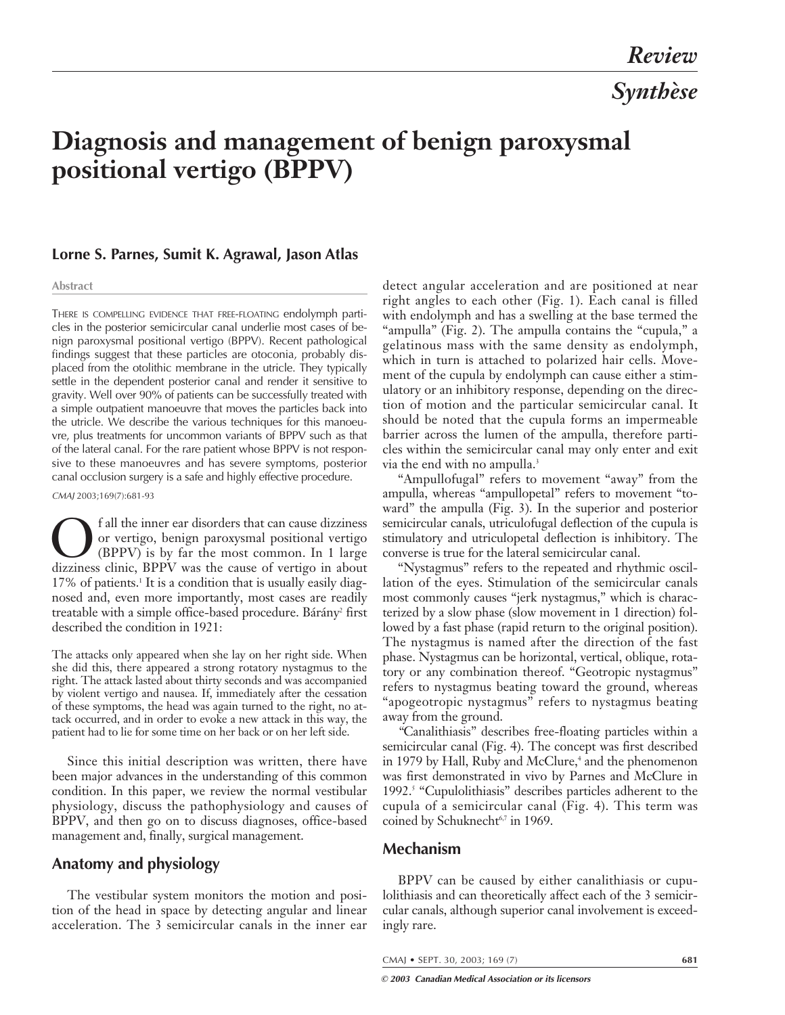# **Diagnosis and management of benign paroxysmal positional vertigo (BPPV)**

#### **Lorne S. Parnes, Sumit K. Agrawal, Jason Atlas**

#### **Abstract**

THERE IS COMPELLING EVIDENCE THAT FREE-FLOATING endolymph particles in the posterior semicircular canal underlie most cases of benign paroxysmal positional vertigo (BPPV). Recent pathological findings suggest that these particles are otoconia, probably displaced from the otolithic membrane in the utricle. They typically settle in the dependent posterior canal and render it sensitive to gravity. Well over 90% of patients can be successfully treated with a simple outpatient manoeuvre that moves the particles back into the utricle. We describe the various techniques for this manoeuvre, plus treatments for uncommon variants of BPPV such as that of the lateral canal. For the rare patient whose BPPV is not responsive to these manoeuvres and has severe symptoms, posterior canal occlusion surgery is a safe and highly effective procedure.

CMAJ 2003;169(7):681-93

**OF** fall the inner ear disorders that can cause dizziness<br>or vertigo, benign paroxysmal positional vertigo<br>(BPPV) is by far the most common. In 1 large<br>dizziness clinic. BPPV was the cause of vertigo in about or vertigo, benign paroxysmal positional vertigo (BPPV) is by far the most common. In 1 large dizziness clinic, BPPV was the cause of vertigo in about 17% of patients.<sup>1</sup> It is a condition that is usually easily diagnosed and, even more importantly, most cases are readily treatable with a simple office-based procedure. Bárány<sup>2</sup> first described the condition in 1921:

The attacks only appeared when she lay on her right side. When she did this, there appeared a strong rotatory nystagmus to the right. The attack lasted about thirty seconds and was accompanied by violent vertigo and nausea. If, immediately after the cessation of these symptoms, the head was again turned to the right, no attack occurred, and in order to evoke a new attack in this way, the patient had to lie for some time on her back or on her left side.

Since this initial description was written, there have been major advances in the understanding of this common condition. In this paper, we review the normal vestibular physiology, discuss the pathophysiology and causes of BPPV, and then go on to discuss diagnoses, office-based management and, finally, surgical management.

## **Anatomy and physiology**

The vestibular system monitors the motion and position of the head in space by detecting angular and linear acceleration. The 3 semicircular canals in the inner ear

detect angular acceleration and are positioned at near right angles to each other (Fig. 1). Each canal is filled with endolymph and has a swelling at the base termed the "ampulla" (Fig. 2). The ampulla contains the "cupula," a gelatinous mass with the same density as endolymph, which in turn is attached to polarized hair cells. Movement of the cupula by endolymph can cause either a stimulatory or an inhibitory response, depending on the direction of motion and the particular semicircular canal. It should be noted that the cupula forms an impermeable barrier across the lumen of the ampulla, therefore particles within the semicircular canal may only enter and exit via the end with no ampulla.<sup>3</sup>

"Ampullofugal" refers to movement "away" from the ampulla, whereas "ampullopetal" refers to movement "toward" the ampulla (Fig. 3). In the superior and posterior semicircular canals, utriculofugal deflection of the cupula is stimulatory and utriculopetal deflection is inhibitory. The converse is true for the lateral semicircular canal.

"Nystagmus" refers to the repeated and rhythmic oscillation of the eyes. Stimulation of the semicircular canals most commonly causes "jerk nystagmus," which is characterized by a slow phase (slow movement in 1 direction) followed by a fast phase (rapid return to the original position). The nystagmus is named after the direction of the fast phase. Nystagmus can be horizontal, vertical, oblique, rotatory or any combination thereof. "Geotropic nystagmus" refers to nystagmus beating toward the ground, whereas "apogeotropic nystagmus" refers to nystagmus beating away from the ground.

*"*Canalithiasis" describes free-floating particles within a semicircular canal (Fig. 4). The concept was first described in 1979 by Hall, Ruby and McClure,<sup>4</sup> and the phenomenon was first demonstrated in vivo by Parnes and McClure in 1992.5 "Cupulolithiasis" describes particles adherent to the cupula of a semicircular canal (Fig. 4). This term was coined by Schuknecht<sup>6,7</sup> in 1969.

## **Mechanism**

BPPV can be caused by either canalithiasis or cupulolithiasis and can theoretically affect each of the 3 semicircular canals, although superior canal involvement is exceedingly rare.

CMAJ • SEPT. 30, 2003; 169 (7) **681**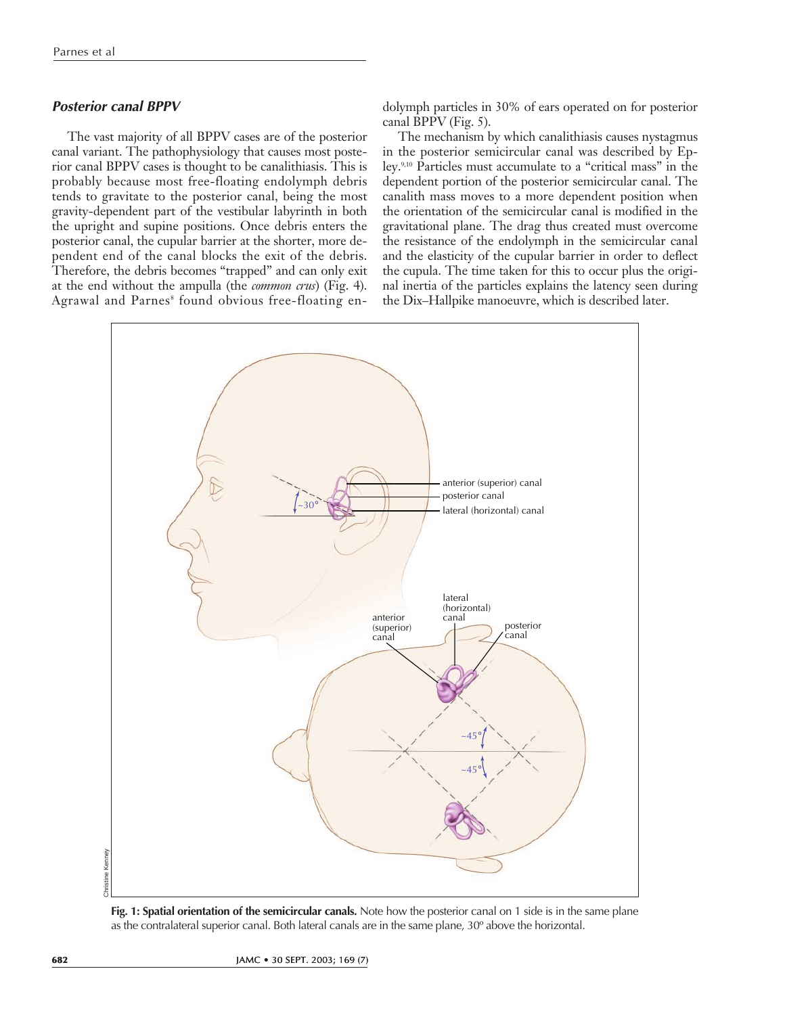## **Posterior canal BPPV**

The vast majority of all BPPV cases are of the posterior canal variant. The pathophysiology that causes most posterior canal BPPV cases is thought to be canalithiasis. This is probably because most free-floating endolymph debris tends to gravitate to the posterior canal, being the most gravity-dependent part of the vestibular labyrinth in both the upright and supine positions. Once debris enters the posterior canal, the cupular barrier at the shorter, more dependent end of the canal blocks the exit of the debris. Therefore, the debris becomes "trapped" and can only exit at the end without the ampulla (the *common crus*) (Fig. 4). Agrawal and Parnes<sup>8</sup> found obvious free-floating endolymph particles in 30% of ears operated on for posterior canal BPPV (Fig. 5).

The mechanism by which canalithiasis causes nystagmus in the posterior semicircular canal was described by Epley.9,10 Particles must accumulate to a "critical mass" in the dependent portion of the posterior semicircular canal. The canalith mass moves to a more dependent position when the orientation of the semicircular canal is modified in the gravitational plane. The drag thus created must overcome the resistance of the endolymph in the semicircular canal and the elasticity of the cupular barrier in order to deflect the cupula. The time taken for this to occur plus the original inertia of the particles explains the latency seen during the Dix–Hallpike manoeuvre, which is described later.



**Fig. 1: Spatial orientation of the semicircular canals.** Note how the posterior canal on 1 side is in the same plane as the contralateral superior canal. Both lateral canals are in the same plane, 30º above the horizontal.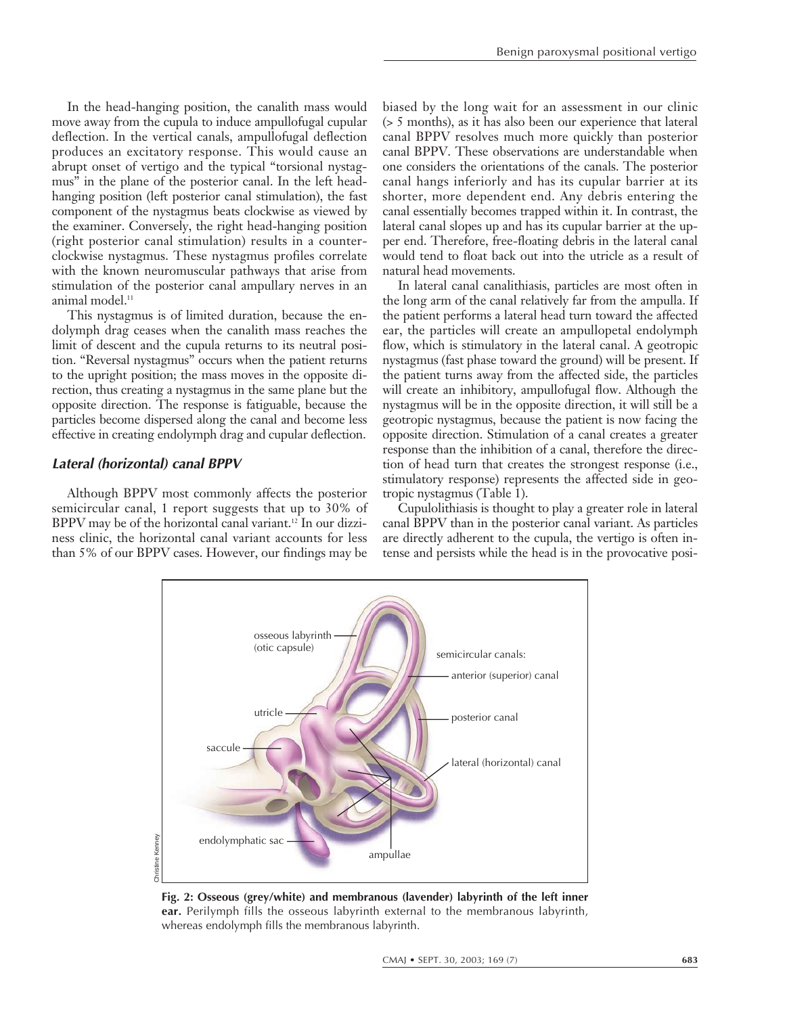In the head-hanging position, the canalith mass would move away from the cupula to induce ampullofugal cupular deflection. In the vertical canals, ampullofugal deflection produces an excitatory response. This would cause an abrupt onset of vertigo and the typical "torsional nystagmus" in the plane of the posterior canal. In the left headhanging position (left posterior canal stimulation), the fast component of the nystagmus beats clockwise as viewed by the examiner. Conversely, the right head-hanging position (right posterior canal stimulation) results in a counterclockwise nystagmus. These nystagmus profiles correlate with the known neuromuscular pathways that arise from stimulation of the posterior canal ampullary nerves in an animal model.<sup>11</sup>

This nystagmus is of limited duration, because the endolymph drag ceases when the canalith mass reaches the limit of descent and the cupula returns to its neutral position. "Reversal nystagmus" occurs when the patient returns to the upright position; the mass moves in the opposite direction, thus creating a nystagmus in the same plane but the opposite direction. The response is fatiguable, because the particles become dispersed along the canal and become less effective in creating endolymph drag and cupular deflection.

#### **Lateral (horizontal) canal BPPV**

Although BPPV most commonly affects the posterior semicircular canal, 1 report suggests that up to 30% of BPPV may be of the horizontal canal variant.<sup>12</sup> In our dizziness clinic, the horizontal canal variant accounts for less than 5% of our BPPV cases. However, our findings may be biased by the long wait for an assessment in our clinic (> 5 months), as it has also been our experience that lateral canal BPPV resolves much more quickly than posterior canal BPPV. These observations are understandable when one considers the orientations of the canals. The posterior canal hangs inferiorly and has its cupular barrier at its shorter, more dependent end. Any debris entering the canal essentially becomes trapped within it. In contrast, the lateral canal slopes up and has its cupular barrier at the upper end. Therefore, free-floating debris in the lateral canal would tend to float back out into the utricle as a result of natural head movements.

In lateral canal canalithiasis, particles are most often in the long arm of the canal relatively far from the ampulla. If the patient performs a lateral head turn toward the affected ear, the particles will create an ampullopetal endolymph flow, which is stimulatory in the lateral canal. A geotropic nystagmus (fast phase toward the ground) will be present. If the patient turns away from the affected side, the particles will create an inhibitory, ampullofugal flow. Although the nystagmus will be in the opposite direction, it will still be a geotropic nystagmus, because the patient is now facing the opposite direction. Stimulation of a canal creates a greater response than the inhibition of a canal, therefore the direction of head turn that creates the strongest response (i.e., stimulatory response) represents the affected side in geotropic nystagmus (Table 1).

Cupulolithiasis is thought to play a greater role in lateral canal BPPV than in the posterior canal variant. As particles are directly adherent to the cupula, the vertigo is often intense and persists while the head is in the provocative posi-



**Fig. 2: Osseous (grey/white) and membranous (lavender) labyrinth of the left inner ear.** Perilymph fills the osseous labyrinth external to the membranous labyrinth, whereas endolymph fills the membranous labyrinth.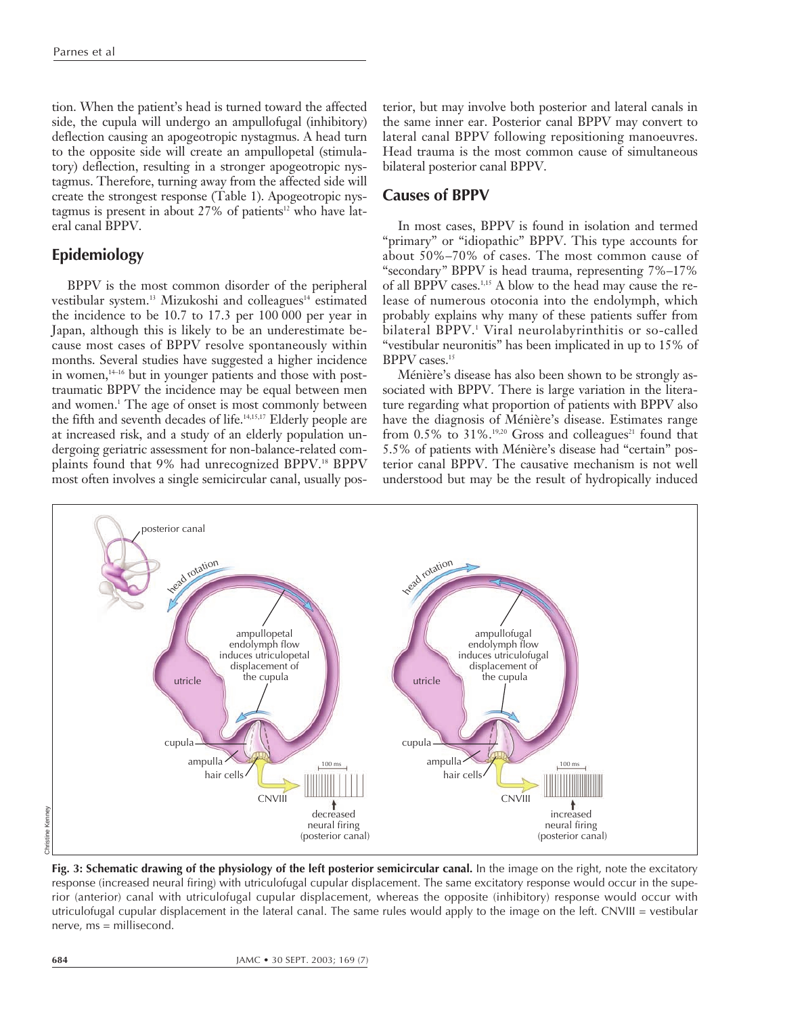tion. When the patient's head is turned toward the affected side, the cupula will undergo an ampullofugal (inhibitory) deflection causing an apogeotropic nystagmus. A head turn to the opposite side will create an ampullopetal (stimulatory) deflection, resulting in a stronger apogeotropic nystagmus. Therefore, turning away from the affected side will create the strongest response (Table 1). Apogeotropic nystagmus is present in about  $27\%$  of patients<sup>12</sup> who have lateral canal BPPV.

# **Epidemiology**

BPPV is the most common disorder of the peripheral vestibular system.<sup>13</sup> Mizukoshi and colleagues<sup>14</sup> estimated the incidence to be 10.7 to 17.3 per 100 000 per year in Japan, although this is likely to be an underestimate because most cases of BPPV resolve spontaneously within months. Several studies have suggested a higher incidence in women, $14-16$  but in younger patients and those with posttraumatic BPPV the incidence may be equal between men and women.<sup>1</sup> The age of onset is most commonly between the fifth and seventh decades of life.<sup>14,15,17</sup> Elderly people are at increased risk, and a study of an elderly population undergoing geriatric assessment for non-balance-related complaints found that 9% had unrecognized BPPV.<sup>18</sup> BPPV most often involves a single semicircular canal, usually posterior, but may involve both posterior and lateral canals in the same inner ear. Posterior canal BPPV may convert to lateral canal BPPV following repositioning manoeuvres. Head trauma is the most common cause of simultaneous bilateral posterior canal BPPV.

## **Causes of BPPV**

In most cases, BPPV is found in isolation and termed "primary" or "idiopathic" BPPV. This type accounts for about 50%–70% of cases. The most common cause of "secondary*"* BPPV is head trauma, representing 7%–17% of all BPPV cases.1,15 A blow to the head may cause the release of numerous otoconia into the endolymph, which probably explains why many of these patients suffer from bilateral BPPV.1 Viral neurolabyrinthitis or so-called "vestibular neuronitis" has been implicated in up to 15% of BPPV cases.15

Ménière's disease has also been shown to be strongly associated with BPPV. There is large variation in the literature regarding what proportion of patients with BPPV also have the diagnosis of Ménière's disease. Estimates range from  $0.5\%$  to  $31\%$ .<sup>19,20</sup> Gross and colleagues<sup>21</sup> found that 5.5% of patients with Ménière's disease had "certain" posterior canal BPPV. The causative mechanism is not well understood but may be the result of hydropically induced



**Fig. 3: Schematic drawing of the physiology of the left posterior semicircular canal.** In the image on the right, note the excitatory response (increased neural firing) with utriculofugal cupular displacement. The same excitatory response would occur in the superior (anterior) canal with utriculofugal cupular displacement, whereas the opposite (inhibitory) response would occur with utriculofugal cupular displacement in the lateral canal. The same rules would apply to the image on the left. CNVIII = vestibular nerve, ms = millisecond.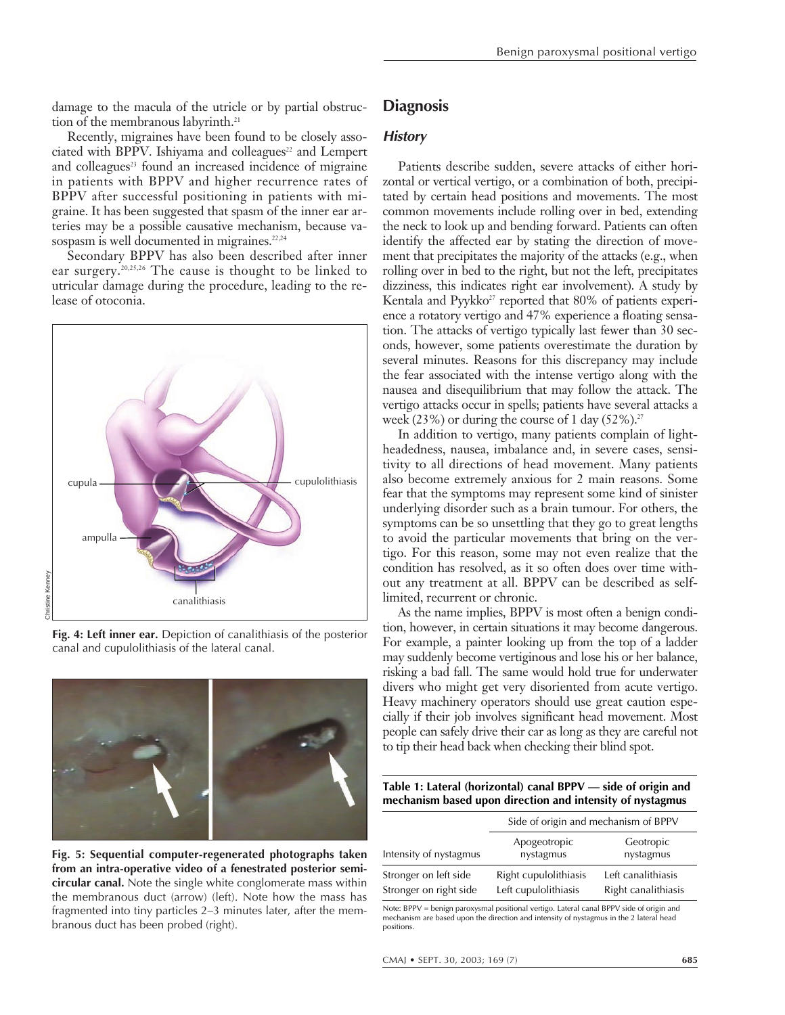damage to the macula of the utricle or by partial obstruction of the membranous labyrinth.<sup>21</sup>

Recently, migraines have been found to be closely associated with BPPV. Ishiyama and colleagues $22$  and Lempert and colleagues<sup>23</sup> found an increased incidence of migraine in patients with BPPV and higher recurrence rates of BPPV after successful positioning in patients with migraine. It has been suggested that spasm of the inner ear arteries may be a possible causative mechanism, because vasospasm is well documented in migraines.<sup>22,24</sup>

Secondary BPPV has also been described after inner ear surgery.20,25,26 The cause is thought to be linked to utricular damage during the procedure, leading to the release of otoconia.



**Fig. 4: Left inner ear.** Depiction of canalithiasis of the posterior canal and cupulolithiasis of the lateral canal.



**Fig. 5: Sequential computer-regenerated photographs taken from an intra-operative video of a fenestrated posterior semicircular canal.** Note the single white conglomerate mass within the membranous duct (arrow) (left). Note how the mass has fragmented into tiny particles 2–3 minutes later, after the membranous duct has been probed (right).

# **Diagnosis**

### **History**

Patients describe sudden, severe attacks of either horizontal or vertical vertigo, or a combination of both, precipitated by certain head positions and movements. The most common movements include rolling over in bed, extending the neck to look up and bending forward. Patients can often identify the affected ear by stating the direction of movement that precipitates the majority of the attacks (e.g., when rolling over in bed to the right, but not the left, precipitates dizziness, this indicates right ear involvement). A study by Kentala and Pyykko<sup>27</sup> reported that 80% of patients experience a rotatory vertigo and 47% experience a floating sensation. The attacks of vertigo typically last fewer than 30 seconds, however, some patients overestimate the duration by several minutes. Reasons for this discrepancy may include the fear associated with the intense vertigo along with the nausea and disequilibrium that may follow the attack. The vertigo attacks occur in spells; patients have several attacks a week (23%) or during the course of 1 day  $(52\%)$ .<sup>27</sup>

In addition to vertigo, many patients complain of lightheadedness, nausea, imbalance and, in severe cases, sensitivity to all directions of head movement. Many patients also become extremely anxious for 2 main reasons. Some fear that the symptoms may represent some kind of sinister underlying disorder such as a brain tumour. For others, the symptoms can be so unsettling that they go to great lengths to avoid the particular movements that bring on the vertigo. For this reason, some may not even realize that the condition has resolved, as it so often does over time without any treatment at all. BPPV can be described as selflimited, recurrent or chronic.

As the name implies, BPPV is most often a benign condition, however, in certain situations it may become dangerous. For example, a painter looking up from the top of a ladder may suddenly become vertiginous and lose his or her balance, risking a bad fall. The same would hold true for underwater divers who might get very disoriented from acute vertigo. Heavy machinery operators should use great caution especially if their job involves significant head movement. Most people can safely drive their car as long as they are careful not to tip their head back when checking their blind spot.

**Table 1: Lateral (horizontal) canal BPPV — side of origin and mechanism based upon direction and intensity of nystagmus**

|                                                 | Side of origin and mechanism of BPPV          |                                           |  |  |
|-------------------------------------------------|-----------------------------------------------|-------------------------------------------|--|--|
| Intensity of nystagmus                          | Apogeotropic<br>nystagmus                     | Geotropic<br>nystagmus                    |  |  |
| Stronger on left side<br>Stronger on right side | Right cupulolithiasis<br>Left cupulolithiasis | Left canalithiasis<br>Right canalithiasis |  |  |

Note: BPPV = benign paroxysmal positional vertigo. Lateral canal BPPV side of origin and mechanism are based upon the direction and intensity of nystagmus in the 2 lateral head positions.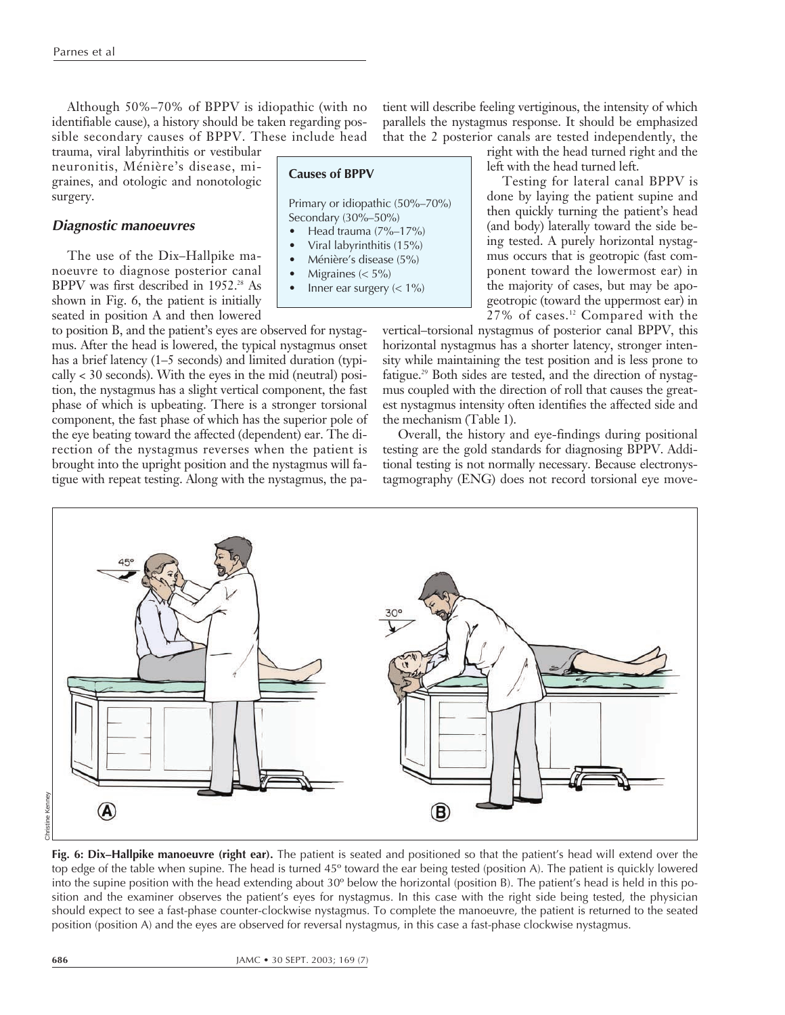Although 50%–70% of BPPV is idiopathic (with no identifiable cause), a history should be taken regarding possible secondary causes of BPPV. These include head

trauma, viral labyrinthitis or vestibular neuronitis, Ménière's disease, migraines, and otologic and nonotologic surgery.

#### **Diagnostic manoeuvres**

The use of the Dix–Hallpike manoeuvre to diagnose posterior canal BPPV was first described in 1952.<sup>28</sup> As shown in Fig. 6, the patient is initially seated in position A and then lowered

to position B, and the patient's eyes are observed for nystagmus. After the head is lowered, the typical nystagmus onset has a brief latency (1–5 seconds) and limited duration (typi- $\text{cally} < 30$  seconds). With the eyes in the mid (neutral) position, the nystagmus has a slight vertical component, the fast phase of which is upbeating. There is a stronger torsional component, the fast phase of which has the superior pole of the eye beating toward the affected (dependent) ear. The direction of the nystagmus reverses when the patient is brought into the upright position and the nystagmus will fatigue with repeat testing. Along with the nystagmus, the pa-

#### **Causes of BPPV**

Primary or idiopathic (50%–70%) Secondary (30%–50%)

- Head trauma (7%–17%)
- Viral labyrinthitis (15%) • Ménière's disease (5%)
- Migraines  $(< 5\%)$
- Inner ear surgery  $(< 1\%)$

tient will describe feeling vertiginous, the intensity of which parallels the nystagmus response. It should be emphasized that the 2 posterior canals are tested independently, the

right with the head turned right and the left with the head turned left.

Testing for lateral canal BPPV is done by laying the patient supine and then quickly turning the patient's head (and body) laterally toward the side being tested. A purely horizontal nystagmus occurs that is geotropic (fast component toward the lowermost ear) in the majority of cases, but may be apogeotropic (toward the uppermost ear) in 27% of cases.12 Compared with the

vertical–torsional nystagmus of posterior canal BPPV, this horizontal nystagmus has a shorter latency, stronger intensity while maintaining the test position and is less prone to fatigue.<sup>29</sup> Both sides are tested, and the direction of nystagmus coupled with the direction of roll that causes the greatest nystagmus intensity often identifies the affected side and the mechanism (Table 1).

Overall, the history and eye-findings during positional testing are the gold standards for diagnosing BPPV. Additional testing is not normally necessary. Because electronystagmography (ENG) does not record torsional eye move-



**Fig. 6: Dix–Hallpike manoeuvre (right ear).** The patient is seated and positioned so that the patient's head will extend over the top edge of the table when supine. The head is turned 45º toward the ear being tested (position A). The patient is quickly lowered into the supine position with the head extending about 30º below the horizontal (position B). The patient's head is held in this position and the examiner observes the patient's eyes for nystagmus. In this case with the right side being tested, the physician should expect to see a fast-phase counter-clockwise nystagmus. To complete the manoeuvre, the patient is returned to the seated position (position A) and the eyes are observed for reversal nystagmus, in this case a fast-phase clockwise nystagmus.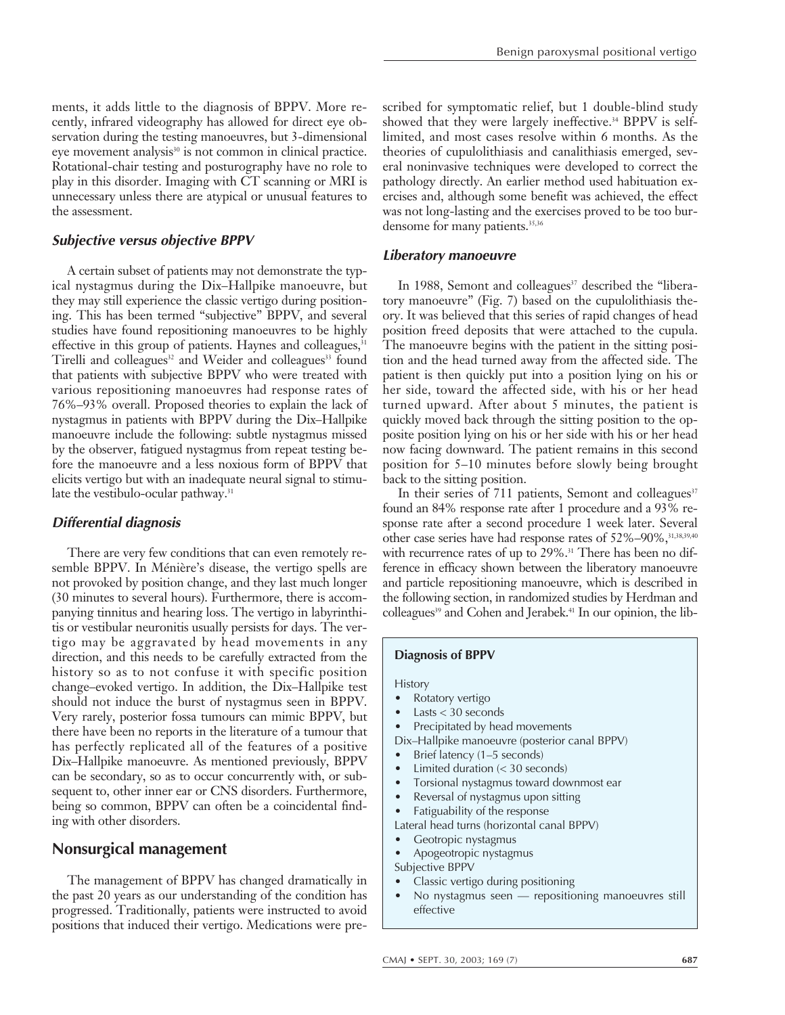ments, it adds little to the diagnosis of BPPV. More recently, infrared videography has allowed for direct eye observation during the testing manoeuvres, but 3-dimensional eye movement analysis $30$  is not common in clinical practice. Rotational-chair testing and posturography have no role to play in this disorder. Imaging with CT scanning or MRI is unnecessary unless there are atypical or unusual features to the assessment.

## **Subjective versus objective BPPV**

A certain subset of patients may not demonstrate the typical nystagmus during the Dix–Hallpike manoeuvre, but they may still experience the classic vertigo during positioning. This has been termed "subjective" BPPV, and several studies have found repositioning manoeuvres to be highly effective in this group of patients. Haynes and colleagues,<sup>31</sup> Tirelli and colleagues<sup>32</sup> and Weider and colleagues<sup>33</sup> found that patients with subjective BPPV who were treated with various repositioning manoeuvres had response rates of 76%–93% overall. Proposed theories to explain the lack of nystagmus in patients with BPPV during the Dix–Hallpike manoeuvre include the following: subtle nystagmus missed by the observer, fatigued nystagmus from repeat testing before the manoeuvre and a less noxious form of BPPV that elicits vertigo but with an inadequate neural signal to stimulate the vestibulo-ocular pathway.<sup>31</sup>

## **Differential diagnosis**

There are very few conditions that can even remotely resemble BPPV. In Ménière's disease, the vertigo spells are not provoked by position change, and they last much longer (30 minutes to several hours). Furthermore, there is accompanying tinnitus and hearing loss. The vertigo in labyrinthitis or vestibular neuronitis usually persists for days. The vertigo may be aggravated by head movements in any direction, and this needs to be carefully extracted from the history so as to not confuse it with specific position change–evoked vertigo. In addition, the Dix–Hallpike test should not induce the burst of nystagmus seen in BPPV. Very rarely, posterior fossa tumours can mimic BPPV, but there have been no reports in the literature of a tumour that has perfectly replicated all of the features of a positive Dix–Hallpike manoeuvre. As mentioned previously, BPPV can be secondary, so as to occur concurrently with, or subsequent to, other inner ear or CNS disorders. Furthermore, being so common, BPPV can often be a coincidental finding with other disorders.

## **Nonsurgical management**

The management of BPPV has changed dramatically in the past 20 years as our understanding of the condition has progressed. Traditionally, patients were instructed to avoid positions that induced their vertigo. Medications were prescribed for symptomatic relief, but 1 double-blind study showed that they were largely ineffective.<sup>34</sup> BPPV is selflimited, and most cases resolve within 6 months. As the theories of cupulolithiasis and canalithiasis emerged, several noninvasive techniques were developed to correct the pathology directly. An earlier method used habituation exercises and, although some benefit was achieved, the effect was not long-lasting and the exercises proved to be too burdensome for many patients.<sup>35,36</sup>

#### **Liberatory manoeuvre**

In 1988, Semont and colleagues<sup>37</sup> described the "liberatory manoeuvre" (Fig. 7) based on the cupulolithiasis theory. It was believed that this series of rapid changes of head position freed deposits that were attached to the cupula. The manoeuvre begins with the patient in the sitting position and the head turned away from the affected side. The patient is then quickly put into a position lying on his or her side, toward the affected side, with his or her head turned upward. After about 5 minutes, the patient is quickly moved back through the sitting position to the opposite position lying on his or her side with his or her head now facing downward. The patient remains in this second position for 5–10 minutes before slowly being brought back to the sitting position.

In their series of 711 patients, Semont and colleagues<sup>37</sup> found an 84% response rate after 1 procedure and a 93% response rate after a second procedure 1 week later. Several other case series have had response rates of 52%–90%, 31,38,39,40 with recurrence rates of up to 29%.<sup>31</sup> There has been no difference in efficacy shown between the liberatory manoeuvre and particle repositioning manoeuvre, which is described in the following section, in randomized studies by Herdman and colleagues<sup>39</sup> and Cohen and Jerabek.<sup>41</sup> In our opinion, the lib-

#### **Diagnosis of BPPV**

#### **History**

- Rotatory vertigo
- $Lasts < 30$  seconds
- Precipitated by head movements
- Dix–Hallpike manoeuvre (posterior canal BPPV)
- Brief latency (1-5 seconds)
- Limited duration  $( $30 \text{ seconds}$ )$
- Torsional nystagmus toward downmost ear
- Reversal of nystagmus upon sitting
- Fatiguability of the response
- Lateral head turns (horizontal canal BPPV)
- Geotropic nystagmus
- Apogeotropic nystagmus
- Subjective BPPV
- Classic vertigo during positioning
- No nystagmus seen repositioning manoeuvres still effective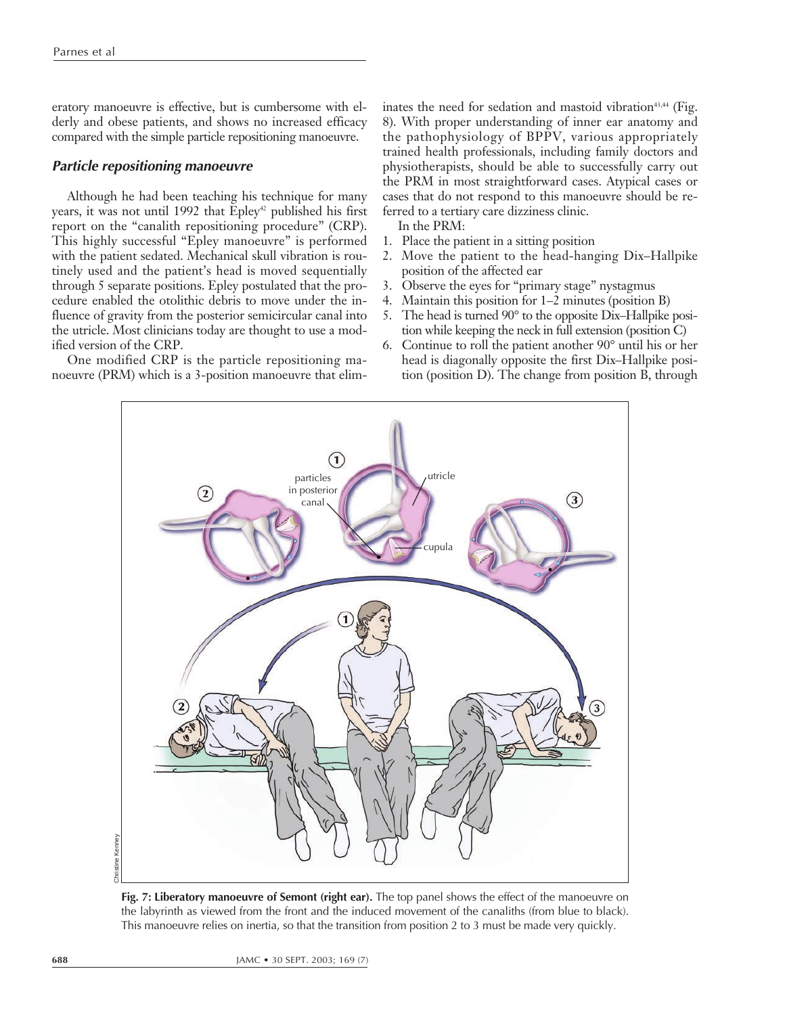eratory manoeuvre is effective, but is cumbersome with elderly and obese patients, and shows no increased efficacy compared with the simple particle repositioning manoeuvre.

#### **Particle repositioning manoeuvre**

Although he had been teaching his technique for many years, it was not until 1992 that Epley<sup>42</sup> published his first report on the "canalith repositioning procedure" (CRP). This highly successful "Epley manoeuvre" is performed with the patient sedated. Mechanical skull vibration is routinely used and the patient's head is moved sequentially through 5 separate positions. Epley postulated that the procedure enabled the otolithic debris to move under the influence of gravity from the posterior semicircular canal into the utricle. Most clinicians today are thought to use a modified version of the CRP.

One modified CRP is the particle repositioning manoeuvre (PRM) which is a 3-position manoeuvre that eliminates the need for sedation and mastoid vibration<sup> $43,44$ </sup> (Fig. 8). With proper understanding of inner ear anatomy and the pathophysiology of BPPV, various appropriately trained health professionals, including family doctors and physiotherapists, should be able to successfully carry out the PRM in most straightforward cases. Atypical cases or cases that do not respond to this manoeuvre should be referred to a tertiary care dizziness clinic.

In the PRM:

- 1. Place the patient in a sitting position
- 2. Move the patient to the head-hanging Dix–Hallpike position of the affected ear
- 3. Observe the eyes for "primary stage" nystagmus
- 4. Maintain this position for 1–2 minutes (position B)
- 5. The head is turned 90° to the opposite Dix–Hallpike position while keeping the neck in full extension (position C)
- 6. Continue to roll the patient another 90° until his or her head is diagonally opposite the first Dix–Hallpike position (position D). The change from position B, through



**Fig. 7: Liberatory manoeuvre of Semont (right ear).** The top panel shows the effect of the manoeuvre on the labyrinth as viewed from the front and the induced movement of the canaliths (from blue to black). This manoeuvre relies on inertia, so that the transition from position 2 to 3 must be made very quickly.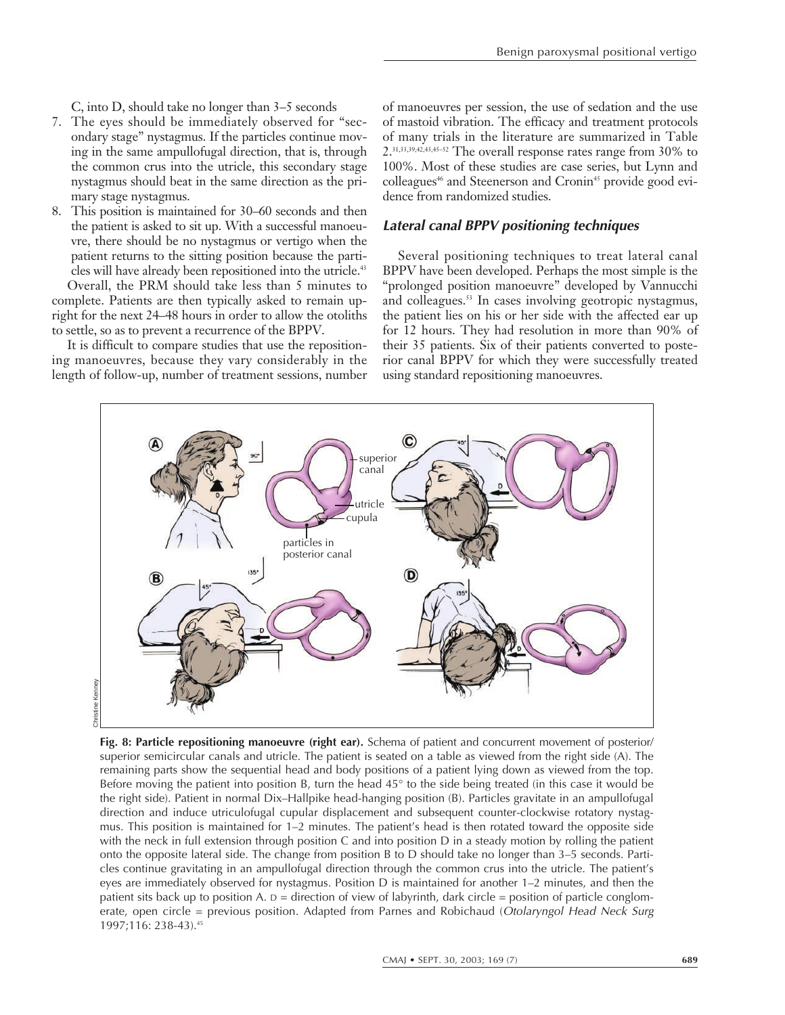C, into D, should take no longer than 3–5 seconds

- 7. The eyes should be immediately observed for "secondary stage" nystagmus. If the particles continue moving in the same ampullofugal direction, that is, through the common crus into the utricle, this secondary stage nystagmus should beat in the same direction as the primary stage nystagmus.
- 8. This position is maintained for 30–60 seconds and then the patient is asked to sit up. With a successful manoeuvre, there should be no nystagmus or vertigo when the patient returns to the sitting position because the particles will have already been repositioned into the utricle.<sup>43</sup>

Overall, the PRM should take less than 5 minutes to complete. Patients are then typically asked to remain upright for the next 24–48 hours in order to allow the otoliths to settle, so as to prevent a recurrence of the BPPV.

It is difficult to compare studies that use the repositioning manoeuvres, because they vary considerably in the length of follow-up, number of treatment sessions, number of manoeuvres per session, the use of sedation and the use of mastoid vibration. The efficacy and treatment protocols of many trials in the literature are summarized in Table 2.31,33,39,42,43,45–52 The overall response rates range from 30% to 100%. Most of these studies are case series, but Lynn and colleagues<sup>46</sup> and Steenerson and Cronin<sup>45</sup> provide good evidence from randomized studies.

#### **Lateral canal BPPV positioning techniques**

Several positioning techniques to treat lateral canal BPPV have been developed. Perhaps the most simple is the "prolonged position manoeuvre" developed by Vannucchi and colleagues.<sup>53</sup> In cases involving geotropic nystagmus, the patient lies on his or her side with the affected ear up for 12 hours. They had resolution in more than 90% of their 35 patients. Six of their patients converted to posterior canal BPPV for which they were successfully treated using standard repositioning manoeuvres.



**Fig. 8: Particle repositioning manoeuvre (right ear).** Schema of patient and concurrent movement of posterior/ superior semicircular canals and utricle. The patient is seated on a table as viewed from the right side (A). The remaining parts show the sequential head and body positions of a patient lying down as viewed from the top. Before moving the patient into position B, turn the head 45° to the side being treated (in this case it would be the right side). Patient in normal Dix–Hallpike head-hanging position (B). Particles gravitate in an ampullofugal direction and induce utriculofugal cupular displacement and subsequent counter-clockwise rotatory nystagmus. This position is maintained for 1–2 minutes. The patient's head is then rotated toward the opposite side with the neck in full extension through position C and into position D in a steady motion by rolling the patient onto the opposite lateral side. The change from position B to D should take no longer than 3–5 seconds. Particles continue gravitating in an ampullofugal direction through the common crus into the utricle. The patient's eyes are immediately observed for nystagmus. Position D is maintained for another 1–2 minutes, and then the patient sits back up to position A.  $D =$  direction of view of labyrinth, dark circle = position of particle conglomerate, open circle = previous position. Adapted from Parnes and Robichaud (Otolaryngol Head Neck Surg 1997;116: 238-43).45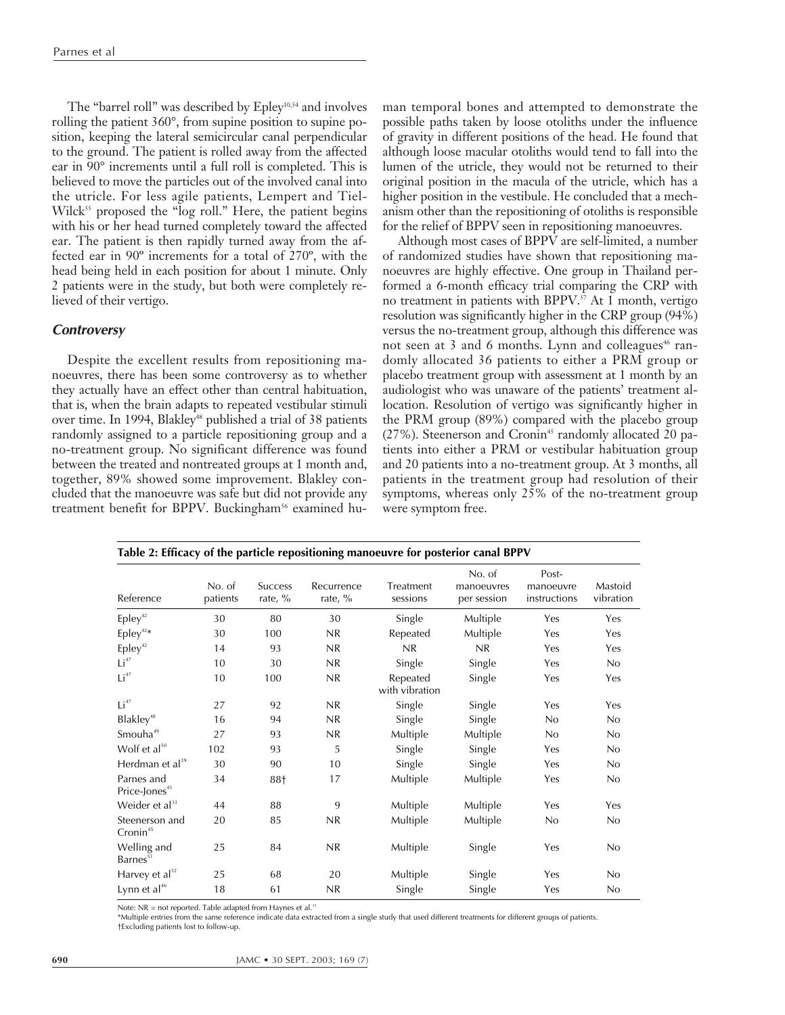The "barrel roll" was described by Epley<sup>10,54</sup> and involves rolling the patient 360°, from supine position to supine position, keeping the lateral semicircular canal perpendicular to the ground. The patient is rolled away from the affected ear in 90° increments until a full roll is completed. This is believed to move the particles out of the involved canal into the utricle. For less agile patients, Lempert and Tiel-Wilck<sup>55</sup> proposed the "log roll." Here, the patient begins with his or her head turned completely toward the affected ear. The patient is then rapidly turned away from the affected ear in 90º increments for a total of 270º, with the head being held in each position for about 1 minute. Only 2 patients were in the study, but both were completely relieved of their vertigo.

#### **Controversy**

Despite the excellent results from repositioning manoeuvres, there has been some controversy as to whether they actually have an effect other than central habituation, that is, when the brain adapts to repeated vestibular stimuli over time. In 1994, Blakley<sup>48</sup> published a trial of 38 patients randomly assigned to a particle repositioning group and a no-treatment group. No significant difference was found between the treated and nontreated groups at 1 month and, together, 89% showed some improvement. Blakley concluded that the manoeuvre was safe but did not provide any treatment benefit for BPPV. Buckingham<sup>56</sup> examined human temporal bones and attempted to demonstrate the possible paths taken by loose otoliths under the influence of gravity in different positions of the head. He found that although loose macular otoliths would tend to fall into the lumen of the utricle, they would not be returned to their original position in the macula of the utricle, which has a higher position in the vestibule. He concluded that a mechanism other than the repositioning of otoliths is responsible for the relief of BPPV seen in repositioning manoeuvres.

Although most cases of BPPV are self-limited, a number of randomized studies have shown that repositioning manoeuvres are highly effective. One group in Thailand performed a 6-month efficacy trial comparing the CRP with no treatment in patients with BPPV.57 At 1 month, vertigo resolution was significantly higher in the CRP group (94%) versus the no-treatment group, although this difference was not seen at 3 and 6 months. Lynn and colleagues<sup>46</sup> randomly allocated 36 patients to either a PRM group or placebo treatment group with assessment at 1 month by an audiologist who was unaware of the patients' treatment allocation. Resolution of vertigo was significantly higher in the PRM group (89%) compared with the placebo group (27%). Steenerson and Cronin<sup>45</sup> randomly allocated 20 patients into either a PRM or vestibular habituation group and 20 patients into a no-treatment group. At 3 months, all patients in the treatment group had resolution of their symptoms, whereas only 25% of the no-treatment group were symptom free.

| Reference                                   | No. of<br>patients | <b>Success</b><br>rate, % | Recurrence<br>rate, % | Treatment<br>sessions      | No. of<br>manoeuvres<br>per session | Post-<br>manoeuvre<br>instructions | Mastoid<br>vibration |
|---------------------------------------------|--------------------|---------------------------|-----------------------|----------------------------|-------------------------------------|------------------------------------|----------------------|
| Epley <sup>42</sup>                         | 30                 | 80                        | 30                    | Single                     | Multiple                            | Yes                                | Yes                  |
| $\mathsf{E}\mathsf{p}\mathsf{lev}^{^{42}*}$ | 30                 | 100                       | NR                    | Repeated                   | Multiple                            | Yes                                | Yes                  |
| Epley <sup>42</sup>                         | 14                 | 93                        | NR                    | NR                         | NR                                  | Yes                                | Yes                  |
| Li <sup>47</sup>                            | 10                 | 30                        | NR                    | Single                     | Single                              | Yes                                | No                   |
| Li <sup>47</sup>                            | 10                 | 100                       | NR                    | Repeated<br>with vibration | Single                              | Yes                                | Yes                  |
| Li <sup>47</sup>                            | 27                 | 92                        | NR                    | Single                     | Single                              | Yes                                | Yes                  |
| Blakley <sup>48</sup>                       | 16                 | 94                        | NR                    | Single                     | Single                              | No                                 | No                   |
| Smouha <sup>49</sup>                        | 27                 | 93                        | NR                    | Multiple                   | Multiple                            | No                                 | No                   |
| Wolf et $al^{50}$                           | 102                | 93                        | 5                     | Single                     | Single                              | Yes                                | No                   |
| Herdman et $al^{39}$                        | 30                 | 90                        | 10                    | Single                     | Single                              | Yes                                | No                   |
| Parnes and<br>Price-Jones <sup>43</sup>     | 34                 | 88†                       | 17                    | Multiple                   | Multiple                            | Yes                                | No                   |
| Weider et $al33$                            | 44                 | 88                        | 9                     | Multiple                   | Multiple                            | Yes                                | Yes                  |
| Steenerson and<br>Cronin <sup>45</sup>      | 20                 | 85                        | NR                    | Multiple                   | Multiple                            | No                                 | No                   |
| Welling and<br>Barnes <sup>51</sup>         | 25                 | 84                        | NR                    | Multiple                   | Single                              | Yes                                | No                   |
| Harvey et $al^{52}$                         | 25                 | 68                        | 20                    | Multiple                   | Single                              | Yes                                | No                   |
| Lynn et $al46$                              | 18                 | 61                        | NR.                   | Single                     | Single                              | Yes                                | No                   |

**Table 2: Efficacy of the particle repositioning manoeuvre for posterior canal BPPV**

Note:  $NR = not$  reported. Table adapted from Haynes et al.<sup>31</sup>

\*Multiple entries from the same reference indicate data extracted from a single study that used different treatments for different groups of patients.

†Excluding patients lost to follow-up.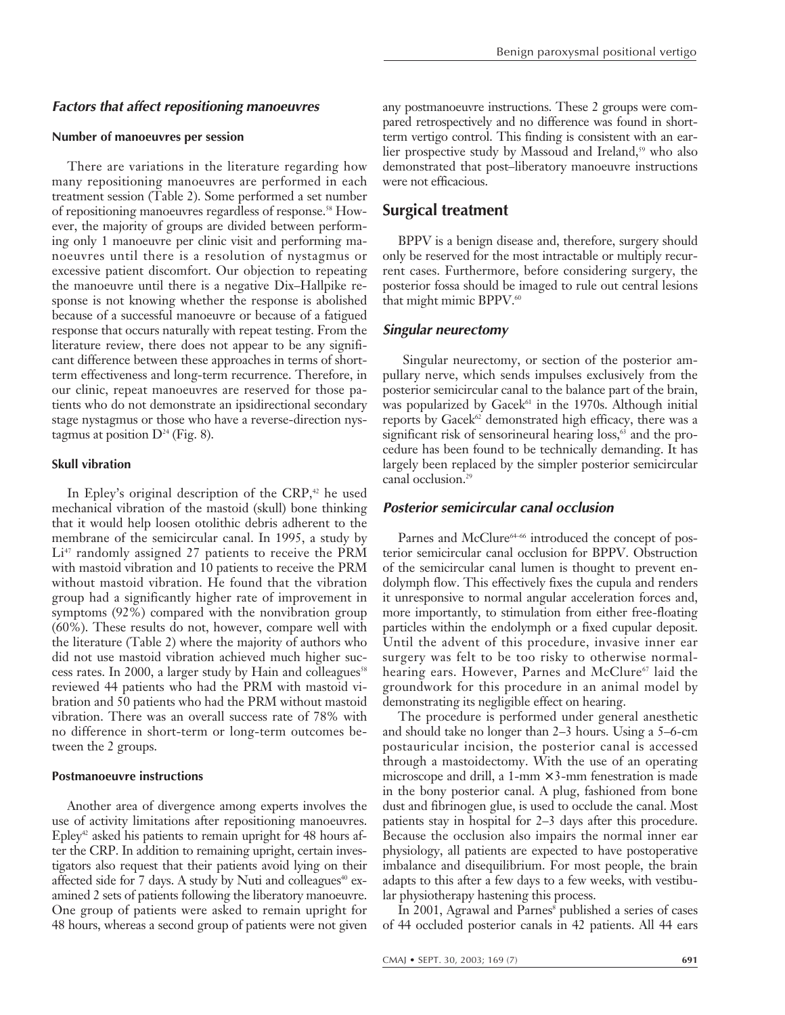#### **Factors that affect repositioning manoeuvres**

#### **Number of manoeuvres per session**

There are variations in the literature regarding how many repositioning manoeuvres are performed in each treatment session (Table 2). Some performed a set number of repositioning manoeuvres regardless of response.<sup>58</sup> However, the majority of groups are divided between performing only 1 manoeuvre per clinic visit and performing manoeuvres until there is a resolution of nystagmus or excessive patient discomfort. Our objection to repeating the manoeuvre until there is a negative Dix–Hallpike response is not knowing whether the response is abolished because of a successful manoeuvre or because of a fatigued response that occurs naturally with repeat testing. From the literature review, there does not appear to be any significant difference between these approaches in terms of shortterm effectiveness and long-term recurrence. Therefore, in our clinic, repeat manoeuvres are reserved for those patients who do not demonstrate an ipsidirectional secondary stage nystagmus or those who have a reverse-direction nystagmus at position  $D^{24}$  (Fig. 8).

#### **Skull vibration**

In Epley's original description of the CRP, $42$  he used mechanical vibration of the mastoid (skull) bone thinking that it would help loosen otolithic debris adherent to the membrane of the semicircular canal. In 1995, a study by  $Li<sup>47</sup>$  randomly assigned 27 patients to receive the PRM with mastoid vibration and 10 patients to receive the PRM without mastoid vibration. He found that the vibration group had a significantly higher rate of improvement in symptoms (92%) compared with the nonvibration group (60%). These results do not, however, compare well with the literature (Table 2) where the majority of authors who did not use mastoid vibration achieved much higher success rates. In 2000, a larger study by Hain and colleagues<sup>58</sup> reviewed 44 patients who had the PRM with mastoid vibration and 50 patients who had the PRM without mastoid vibration. There was an overall success rate of 78% with no difference in short-term or long-term outcomes between the 2 groups.

#### **Postmanoeuvre instructions**

Another area of divergence among experts involves the use of activity limitations after repositioning manoeuvres. Epley<sup>42</sup> asked his patients to remain upright for 48 hours after the CRP. In addition to remaining upright, certain investigators also request that their patients avoid lying on their affected side for 7 days. A study by Nuti and colleagues<sup>40</sup> examined 2 sets of patients following the liberatory manoeuvre. One group of patients were asked to remain upright for 48 hours, whereas a second group of patients were not given

any postmanoeuvre instructions. These 2 groups were compared retrospectively and no difference was found in shortterm vertigo control. This finding is consistent with an earlier prospective study by Massoud and Ireland,<sup>59</sup> who also demonstrated that post–liberatory manoeuvre instructions were not efficacious.

## **Surgical treatment**

BPPV is a benign disease and, therefore, surgery should only be reserved for the most intractable or multiply recurrent cases. Furthermore, before considering surgery, the posterior fossa should be imaged to rule out central lesions that might mimic BPPV.<sup>60</sup>

#### **Singular neurectomy**

Singular neurectomy, or section of the posterior ampullary nerve, which sends impulses exclusively from the posterior semicircular canal to the balance part of the brain, was popularized by Gacek $61$  in the 1970s. Although initial reports by Gacek<sup> $62$ </sup> demonstrated high efficacy, there was a significant risk of sensorineural hearing  $loss$ <sup>3</sup> and the procedure has been found to be technically demanding. It has largely been replaced by the simpler posterior semicircular canal occlusion.<sup>29</sup>

### **Posterior semicircular canal occlusion**

Parnes and McClure<sup>64–66</sup> introduced the concept of posterior semicircular canal occlusion for BPPV. Obstruction of the semicircular canal lumen is thought to prevent endolymph flow. This effectively fixes the cupula and renders it unresponsive to normal angular acceleration forces and, more importantly, to stimulation from either free-floating particles within the endolymph or a fixed cupular deposit. Until the advent of this procedure, invasive inner ear surgery was felt to be too risky to otherwise normalhearing ears. However, Parnes and McClure<sup>67</sup> laid the groundwork for this procedure in an animal model by demonstrating its negligible effect on hearing.

The procedure is performed under general anesthetic and should take no longer than 2–3 hours. Using a 5–6-cm postauricular incision, the posterior canal is accessed through a mastoidectomy. With the use of an operating microscope and drill, a  $1-mm \times 3-mm$  fenestration is made in the bony posterior canal. A plug, fashioned from bone dust and fibrinogen glue, is used to occlude the canal. Most patients stay in hospital for 2–3 days after this procedure. Because the occlusion also impairs the normal inner ear physiology, all patients are expected to have postoperative imbalance and disequilibrium. For most people, the brain adapts to this after a few days to a few weeks, with vestibular physiotherapy hastening this process.

In 2001, Agrawal and Parnes<sup>8</sup> published a series of cases of 44 occluded posterior canals in 42 patients. All 44 ears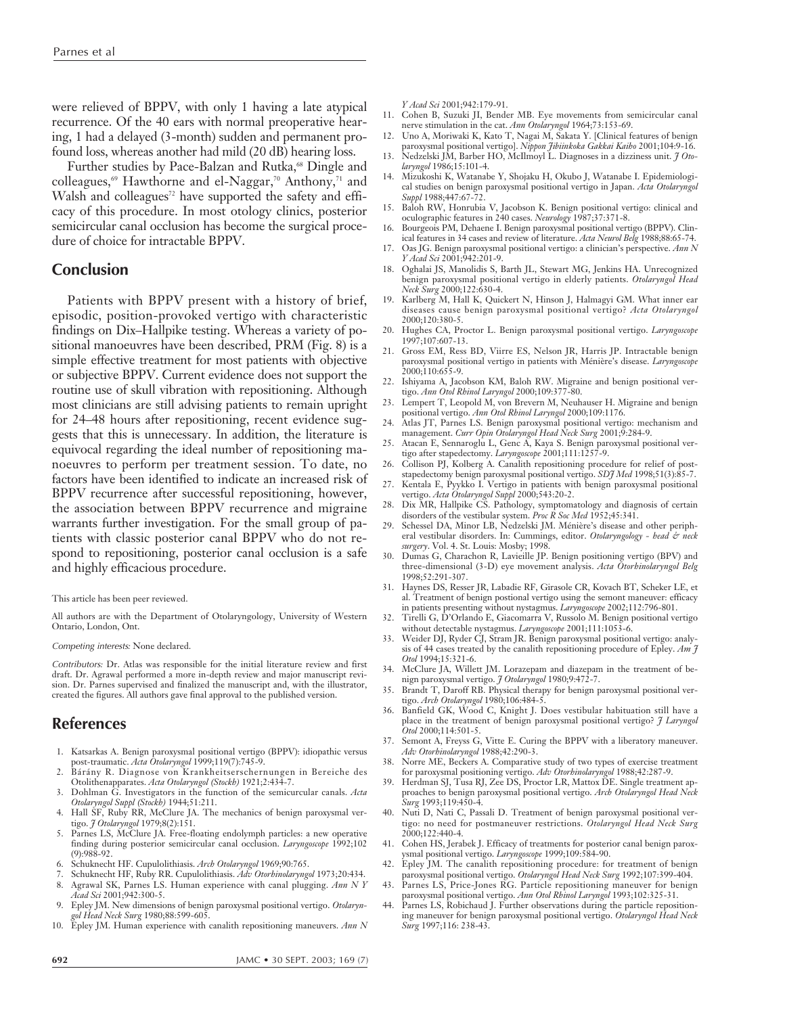were relieved of BPPV, with only 1 having a late atypical recurrence. Of the 40 ears with normal preoperative hearing, 1 had a delayed (3-month) sudden and permanent profound loss, whereas another had mild (20 dB) hearing loss.

Further studies by Pace-Balzan and Rutka,<sup>68</sup> Dingle and colleagues,<sup>69</sup> Hawthorne and el-Naggar,<sup>70</sup> Anthony,<sup>71</sup> and Walsh and colleagues<sup>72</sup> have supported the safety and efficacy of this procedure. In most otology clinics, posterior semicircular canal occlusion has become the surgical procedure of choice for intractable BPPV.

#### **Conclusion**

Patients with BPPV present with a history of brief, episodic, position-provoked vertigo with characteristic findings on Dix–Hallpike testing. Whereas a variety of positional manoeuvres have been described, PRM (Fig. 8) is a simple effective treatment for most patients with objective or subjective BPPV. Current evidence does not support the routine use of skull vibration with repositioning. Although most clinicians are still advising patients to remain upright for 24–48 hours after repositioning, recent evidence suggests that this is unnecessary. In addition, the literature is equivocal regarding the ideal number of repositioning manoeuvres to perform per treatment session. To date, no factors have been identified to indicate an increased risk of BPPV recurrence after successful repositioning, however, the association between BPPV recurrence and migraine warrants further investigation. For the small group of patients with classic posterior canal BPPV who do not respond to repositioning, posterior canal occlusion is a safe and highly efficacious procedure.

#### This article has been peer reviewed.

All authors are with the Department of Otolaryngology, University of Western Ontario, London, Ont.

#### Competing interests*:* None declared.

Contributors*:* Dr. Atlas was responsible for the initial literature review and first draft. Dr. Agrawal performed a more in-depth review and major manuscript revision. Dr. Parnes supervised and finalized the manuscript and, with the illustrator, created the figures. All authors gave final approval to the published version.

#### **References**

- 1. Katsarkas A. Benign paroxysmal positional vertigo (BPPV): idiopathic versus
- post-traumatic. *Acta Otolaryngol* 1999;119(7):745-9. 2. Bárány R. Diagnose von Krankheitserschernungen in Bereiche des Otolithenapparates. *Acta Otolaryngol (Stockh)* 1921;2:434-7.
- 3. Dohlman G. Investigators in the function of the semicurcular canals. *Acta Otolaryngol Suppl (Stockh)* 1944;51:211.
- 4. Hall SF, Ruby RR, McClure JA. The mechanics of benign paroxysmal vertigo. *J Otolaryngol* 1979;8(2):151.
- 5. Parnes LS, McClure JA. Free-floating endolymph particles: a new operative finding during posterior semicircular canal occlusion. *Laryngoscope* 1992;102 (9):988-92.
- 6. Schuknecht HF. Cupulolithiasis. *Arch Otolaryngol* 1969;90:765.
- 7. Schuknecht HF, Ruby RR. Cupulolithiasis. *Adv Otorhinolaryngol* 1973;20:434.
- 8. Agrawal SK, Parnes LS. Human experience with canal plugging. *Ann N Y Acad Sci* 2001;942:300-5.
- 9. Epley JM. New dimensions of benign paroxysmal positional vertigo. *Otolaryngol Head Neck Surg* 1980;88:599-605.
- 10. Epley JM. Human experience with canalith repositioning maneuvers. *Ann N*

*Y Acad Sci* 2001;942:179-91.

- 11. Cohen B, Suzuki JI, Bender MB. Eye movements from semicircular canal nerve stimulation in the cat. *Ann Otolaryngol* 1964;73:153-69.
- 12. Uno A, Moriwaki K, Kato T, Nagai M, Sakata Y. [Clinical features of benign paroxysmal positional vertigo]. *Nippon Jibiinkoka Gakkai Kaiho* 2001;104:9-16.
- 13. Nedzelski JM, Barber HO, McIlmoyl L. Diagnoses in a dizziness unit. *J Otolaryngol* 1986;15:101-4.
- 14. Mizukoshi K, Watanabe Y, Shojaku H, Okubo J, Watanabe I. Epidemiological studies on benign paroxysmal positional vertigo in Japan. *Acta Otolaryngol Suppl* 1988;447:67-72.
- 15. Baloh RW, Honrubia V, Jacobson K. Benign positional vertigo: clinical and oculographic features in 240 cases. *Neurology* 1987;37:371-8.
- 16. Bourgeois PM, Dehaene I. Benign paroxysmal positional vertigo (BPPV). Clinical features in 34 cases and review of literature. *Acta Neurol Belg* 1988;88:65-74.
- 17. Oas JG. Benign paroxysmal positional vertigo: a clinician's perspective. *Ann N Y Acad Sci* 2001;942:201-9.
- 18. Oghalai JS, Manolidis S, Barth JL, Stewart MG, Jenkins HA. Unrecognized benign paroxysmal positional vertigo in elderly patients. *Otolaryngol Head Neck Surg* 2000;122:630-4.
- 19. Karlberg M, Hall K, Quickert N, Hinson J, Halmagyi GM. What inner ear diseases cause benign paroxysmal positional vertigo? *Acta Otolaryngol* 2000;120:380-5.
- 20. Hughes CA, Proctor L. Benign paroxysmal positional vertigo. *Laryngoscope* 1997;107:607-13.
- 21. Gross EM, Ress BD, Viirre ES, Nelson JR, Harris JP. Intractable benign paroxysmal positional vertigo in patients with Ménière's disease. *Laryngoscope* 2000;110:655-9.
- 22. Ishiyama A, Jacobson KM, Baloh RW. Migraine and benign positional vertigo. *Ann Otol Rhinol Laryngol* 2000;109:377-80.
- 23. Lempert T, Leopold M, von Brevern M, Neuhauser H. Migraine and benign positional vertigo. *Ann Otol Rhinol Laryngol* 2000;109:1176.
- 24. Atlas JT, Parnes LS. Benign paroxysmal positional vertigo: mechanism and management. *Curr Opin Otolaryngol Head Neck Surg* 2001;9:284-9.
- 25. Atacan E, Sennaroglu L, Genc A, Kaya S. Benign paroxysmal positional vertigo after stapedectomy. *Laryngoscope* 2001;111:1257-9.
- 26. Collison PJ, Kolberg A. Canalith repositioning procedure for relief of post-
- stapedectomy benign paroxysmal positional vertigo. *SDJ Med* 1998;51(3):85-7. 27. Kentala E, Pyykko I. Vertigo in patients with benign paroxysmal positional vertigo. *Acta Otolaryngol Suppl* 2000;543:20-2. 28. Dix MR, Hallpike CS. Pathology, symptomatology and diagnosis of certain
- disorders of the vestibular system. *Proc R Soc Med* 1952;45:341.
- 29. Schessel DA, Minor LB, Nedzelski JM. Ménière's disease and other peripheral vestibular disorders. In: Cummings, editor. *Otolaryngology - head & neck surgery*. Vol. 4. St. Louis: Mosby; 1998.
- 30. Dumas G, Charachon R, Lavieille JP. Benign positioning vertigo (BPV) and three-dimensional (3-D) eye movement analysis. *Acta Otorhinolaryngol Belg* 1998;52:291-307.
- 31. Haynes DS, Resser JR, Labadie RF, Girasole CR, Kovach BT, Scheker LE, et al. Treatment of benign postional vertigo using the semont maneuver: efficacy in patients presenting without nystagmus. *Laryngoscope* 2002;112:796-801.
- 32. Tirelli G, D'Orlando E, Giacomarra V, Russolo M. Benign positional vertigo without detectable nystagmus. *Laryngoscope* 2001;111:1053-6.
- 33. Weider DJ, Ryder CJ, Stram JR. Benign paroxysmal positional vertigo: analysis of 44 cases treated by the canalith repositioning procedure of Epley. *Am J Otol* 1994;15:321-6.
- 34. McClure JA, Willett JM. Lorazepam and diazepam in the treatment of benign paroxysmal vertigo. *J Otolaryngol* 1980;9:472-7.
- 35. Brandt T, Daroff RB. Physical therapy for benign paroxysmal positional vertigo. *Arch Otolaryngol* 1980;106:484-5.
- 36. Banfield GK, Wood C, Knight J. Does vestibular habituation still have a place in the treatment of benign paroxysmal positional vertigo? *J Laryngol Otol* 2000;114:501-5.
- 37. Semont A, Freyss G, Vitte E. Curing the BPPV with a liberatory maneuver. *Adv Otorhinolaryngol* 1988;42:290-3.
- 38. Norre ME, Beckers A. Comparative study of two types of exercise treatment for paroxysmal positioning vertigo. *Adv Otorhinolaryngol* 1988;42:287-9.
- 39. Herdman SJ, Tusa RJ, Zee DS, Proctor LR, Mattox DE. Single treatment approaches to benign paroxysmal positional vertigo. *Arch Otolaryngol Head Neck Surg* 1993;119:450-4.
- 40. Nuti D, Nati C, Passali D. Treatment of benign paroxysmal positional vertigo: no need for postmaneuver restrictions. *Otolaryngol Head Neck Surg* 2000;122:440-4.
- 41. Cohen HS, Jerabek J. Efficacy of treatments for posterior canal benign paroxysmal positional vertigo. *Laryngoscope* 1999;109:584-90.
- 42. Epley JM. The canalith repositioning procedure: for treatment of benign paroxysmal positional vertigo. *Otolaryngol Head Neck Surg* 1992;107:399-404.
- 43. Parnes LS, Price-Jones RG. Particle repositioning maneuver for benign paroxysmal positional vertigo. *Ann Otol Rhinol Laryngol* 1993;102:325-31. 44. Parnes LS, Robichaud J. Further observations during the particle reposition-
- ing maneuver for benign paroxysmal positional vertigo. *Otolaryngol Head Neck Surg* 1997;116: 238-43.